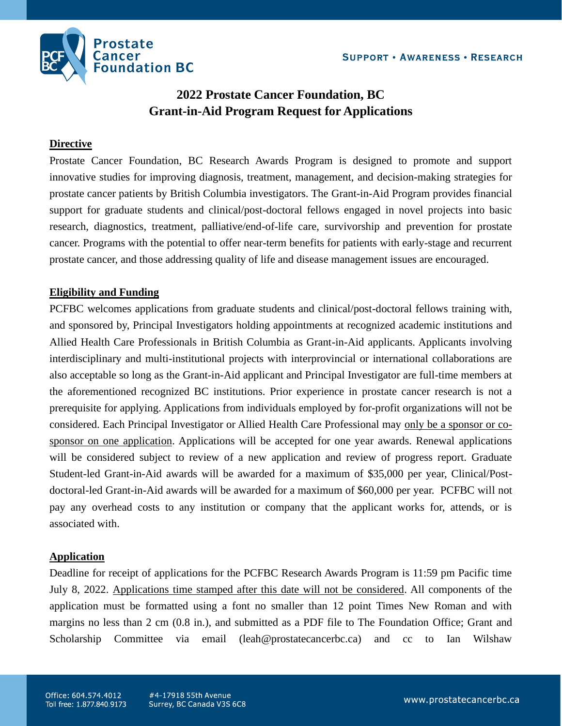

# **2022 Prostate Cancer Foundation, BC Grant-in-Aid Program Request for Applications**

#### **Directive**

Prostate Cancer Foundation, BC Research Awards Program is designed to promote and support innovative studies for improving diagnosis, treatment, management, and decision-making strategies for prostate cancer patients by British Columbia investigators. The Grant-in-Aid Program provides financial support for graduate students and clinical/post-doctoral fellows engaged in novel projects into basic research, diagnostics, treatment, palliative/end-of-life care, survivorship and prevention for prostate cancer. Programs with the potential to offer near-term benefits for patients with early-stage and recurrent prostate cancer, and those addressing quality of life and disease management issues are encouraged.

## **Eligibility and Funding**

PCFBC welcomes applications from graduate students and clinical/post-doctoral fellows training with, and sponsored by, Principal Investigators holding appointments at recognized academic institutions and Allied Health Care Professionals in British Columbia as Grant-in-Aid applicants. Applicants involving interdisciplinary and multi-institutional projects with interprovincial or international collaborations are also acceptable so long as the Grant-in-Aid applicant and Principal Investigator are full-time members at the aforementioned recognized BC institutions. Prior experience in prostate cancer research is not a prerequisite for applying. Applications from individuals employed by for-profit organizations will not be considered. Each Principal Investigator or Allied Health Care Professional may only be a sponsor or cosponsor on one application. Applications will be accepted for one year awards. Renewal applications will be considered subject to review of a new application and review of progress report. Graduate Student-led Grant-in-Aid awards will be awarded for a maximum of \$35,000 per year, Clinical/Postdoctoral-led Grant-in-Aid awards will be awarded for a maximum of \$60,000 per year. PCFBC will not pay any overhead costs to any institution or company that the applicant works for, attends, or is associated with.

#### **Application**

Deadline for receipt of applications for the PCFBC Research Awards Program is 11:59 pm Pacific time July 8, 2022. Applications time stamped after this date will not be considered. All components of the application must be formatted using a font no smaller than 12 point Times New Roman and with margins no less than 2 cm (0.8 in.), and submitted as a PDF file to The Foundation Office; Grant and Scholarship Committee via email (leah@prostatecancerbc.ca) and cc to Ian Wilshaw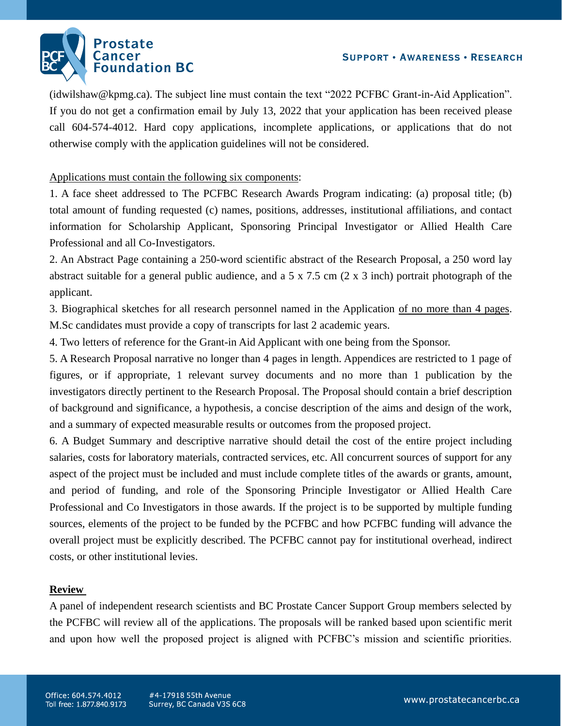

(idwilshaw@kpmg.ca). The subject line must contain the text "2022 PCFBC Grant-in-Aid Application". If you do not get a confirmation email by July 13, 2022 that your application has been received please call 604-574-4012. Hard copy applications, incomplete applications, or applications that do not otherwise comply with the application guidelines will not be considered.

### Applications must contain the following six components:

1. A face sheet addressed to The PCFBC Research Awards Program indicating: (a) proposal title; (b) total amount of funding requested (c) names, positions, addresses, institutional affiliations, and contact information for Scholarship Applicant, Sponsoring Principal Investigator or Allied Health Care Professional and all Co-Investigators.

2. An Abstract Page containing a 250-word scientific abstract of the Research Proposal, a 250 word lay abstract suitable for a general public audience, and a 5 x 7.5 cm (2 x 3 inch) portrait photograph of the applicant.

3. Biographical sketches for all research personnel named in the Application of no more than 4 pages. M.Sc candidates must provide a copy of transcripts for last 2 academic years.

4. Two letters of reference for the Grant-in Aid Applicant with one being from the Sponsor.

5. A Research Proposal narrative no longer than 4 pages in length. Appendices are restricted to 1 page of figures, or if appropriate, 1 relevant survey documents and no more than 1 publication by the investigators directly pertinent to the Research Proposal. The Proposal should contain a brief description of background and significance, a hypothesis, a concise description of the aims and design of the work, and a summary of expected measurable results or outcomes from the proposed project.

6. A Budget Summary and descriptive narrative should detail the cost of the entire project including salaries, costs for laboratory materials, contracted services, etc. All concurrent sources of support for any aspect of the project must be included and must include complete titles of the awards or grants, amount, and period of funding, and role of the Sponsoring Principle Investigator or Allied Health Care Professional and Co Investigators in those awards. If the project is to be supported by multiple funding sources, elements of the project to be funded by the PCFBC and how PCFBC funding will advance the overall project must be explicitly described. The PCFBC cannot pay for institutional overhead, indirect costs, or other institutional levies.

#### **Review**

A panel of independent research scientists and BC Prostate Cancer Support Group members selected by the PCFBC will review all of the applications. The proposals will be ranked based upon scientific merit and upon how well the proposed project is aligned with PCFBC's mission and scientific priorities.